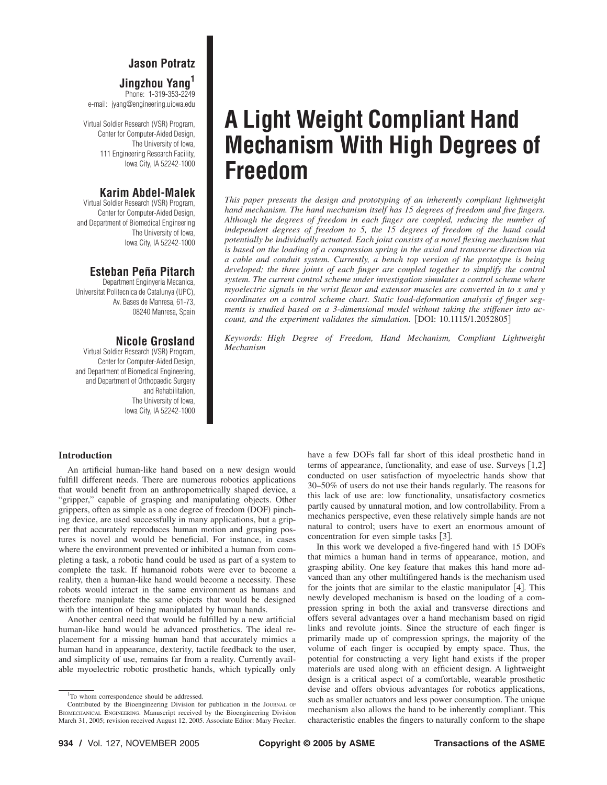## **Jason Potratz**

## **Jingzhou Yang<sup>1</sup>**

Phone: 1-319-353-2249 e-mail: jyang@engineering.uiowa.edu

Virtual Soldier Research (VSR) Program, Center for Computer-Aided Design, The University of Iowa, 111 Engineering Research Facility, Iowa City, IA 52242-1000

## **Karim Abdel-Malek**

Virtual Soldier Research (VSR) Program, Center for Computer-Aided Design, and Department of Biomedical Engineering The University of Iowa, Iowa City, IA 52242-1000

## **Esteban Peña Pitarch**

Department Enginyeria Mecanica, Universitat Politecnica de Catalunya (UPC), Av. Bases de Manresa, 61-73, 08240 Manresa, Spain

## **Nicole Grosland**

Virtual Soldier Research (VSR) Program, Center for Computer-Aided Design, and Department of Biomedical Engineering, and Department of Orthopaedic Surgery and Rehabilitation, The University of Iowa, Iowa City, IA 52242-1000

# **A Light Weight Compliant Hand Mechanism With High Degrees of Freedom**

*This paper presents the design and prototyping of an inherently compliant lightweight hand mechanism. The hand mechanism itself has 15 degrees of freedom and five fingers. Although the degrees of freedom in each finger are coupled, reducing the number of independent degrees of freedom to 5, the 15 degrees of freedom of the hand could potentially be individually actuated. Each joint consists of a novel flexing mechanism that is based on the loading of a compression spring in the axial and transverse direction via a cable and conduit system. Currently, a bench top version of the prototype is being developed; the three joints of each finger are coupled together to simplify the control system. The current control scheme under investigation simulates a control scheme where myoelectric signals in the wrist flexor and extensor muscles are converted in to x and y coordinates on a control scheme chart. Static load-deformation analysis of finger segments is studied based on a 3-dimensional model without taking the stiffener into account, and the experiment validates the simulation.* [DOI: 10.1115/1.2052805]

*Keywords: High Degree of Freedom, Hand Mechanism, Compliant Lightweight Mechanism*

## **Introduction**

An artificial human-like hand based on a new design would fulfill different needs. There are numerous robotics applications that would benefit from an anthropometrically shaped device, a "gripper," capable of grasping and manipulating objects. Other grippers, often as simple as a one degree of freedom (DOF) pinching device, are used successfully in many applications, but a gripper that accurately reproduces human motion and grasping postures is novel and would be beneficial. For instance, in cases where the environment prevented or inhibited a human from completing a task, a robotic hand could be used as part of a system to complete the task. If humanoid robots were ever to become a reality, then a human-like hand would become a necessity. These robots would interact in the same environment as humans and therefore manipulate the same objects that would be designed with the intention of being manipulated by human hands.

Another central need that would be fulfilled by a new artificial human-like hand would be advanced prosthetics. The ideal replacement for a missing human hand that accurately mimics a human hand in appearance, dexterity, tactile feedback to the user, and simplicity of use, remains far from a reality. Currently available myoelectric robotic prosthetic hands, which typically only

have a few DOFs fall far short of this ideal prosthetic hand in terms of appearance, functionality, and ease of use. Surveys  $[1,2]$ conducted on user satisfaction of myoelectric hands show that 30–50% of users do not use their hands regularly. The reasons for this lack of use are: low functionality, unsatisfactory cosmetics partly caused by unnatural motion, and low controllability. From a mechanics perspective, even these relatively simple hands are not natural to control; users have to exert an enormous amount of concentration for even simple tasks [3].

In this work we developed a five-fingered hand with 15 DOFs that mimics a human hand in terms of appearance, motion, and grasping ability. One key feature that makes this hand more advanced than any other multifingered hands is the mechanism used for the joints that are similar to the elastic manipulator [4]. This newly developed mechanism is based on the loading of a compression spring in both the axial and transverse directions and offers several advantages over a hand mechanism based on rigid links and revolute joints. Since the structure of each finger is primarily made up of compression springs, the majority of the volume of each finger is occupied by empty space. Thus, the potential for constructing a very light hand exists if the proper materials are used along with an efficient design. A lightweight design is a critical aspect of a comfortable, wearable prosthetic devise and offers obvious advantages for robotics applications, such as smaller actuators and less power consumption. The unique mechanism also allows the hand to be inherently compliant. This characteristic enables the fingers to naturally conform to the shape

<sup>&</sup>lt;sup>1</sup>To whom correspondence should be addressed.

Contributed by the Bioengineering Division for publication in the JOURNAL OF BIOMECHANICAL ENGINEERING. Manuscript received by the Bioengineering Division March 31, 2005; revision received August 12, 2005. Associate Editor: Mary Frecker.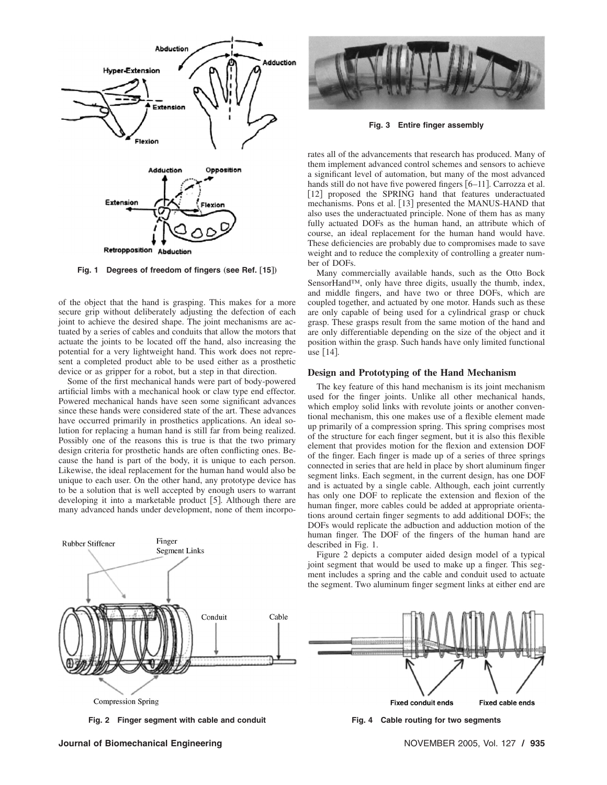

**Fig. 1** Degrees of freedom of fingers (see Ref. [15])

of the object that the hand is grasping. This makes for a more secure grip without deliberately adjusting the defection of each joint to achieve the desired shape. The joint mechanisms are actuated by a series of cables and conduits that allow the motors that actuate the joints to be located off the hand, also increasing the potential for a very lightweight hand. This work does not represent a completed product able to be used either as a prosthetic device or as gripper for a robot, but a step in that direction.

Some of the first mechanical hands were part of body-powered artificial limbs with a mechanical hook or claw type end effector. Powered mechanical hands have seen some significant advances since these hands were considered state of the art. These advances have occurred primarily in prosthetics applications. An ideal solution for replacing a human hand is still far from being realized. Possibly one of the reasons this is true is that the two primary design criteria for prosthetic hands are often conflicting ones. Because the hand is part of the body, it is unique to each person. Likewise, the ideal replacement for the human hand would also be unique to each user. On the other hand, any prototype device has to be a solution that is well accepted by enough users to warrant developing it into a marketable product [5]. Although there are many advanced hands under development, none of them incorpo-



**Fig. 2 Finger segment with cable and conduit**



**Fig. 3 Entire finger assembly**

rates all of the advancements that research has produced. Many of them implement advanced control schemes and sensors to achieve a significant level of automation, but many of the most advanced hands still do not have five powered fingers [6-11]. Carrozza et al. [12] proposed the SPRING hand that features underactuated mechanisms. Pons et al. [13] presented the MANUS-HAND that also uses the underactuated principle. None of them has as many fully actuated DOFs as the human hand, an attribute which of course, an ideal replacement for the human hand would have. These deficiencies are probably due to compromises made to save weight and to reduce the complexity of controlling a greater number of DOFs.

Many commercially available hands, such as the Otto Bock SensorHand™, only have three digits, usually the thumb, index, and middle fingers, and have two or three DOFs, which are coupled together, and actuated by one motor. Hands such as these are only capable of being used for a cylindrical grasp or chuck grasp. These grasps result from the same motion of the hand and are only differentiable depending on the size of the object and it position within the grasp. Such hands have only limited functional use [14].

#### **Design and Prototyping of the Hand Mechanism**

The key feature of this hand mechanism is its joint mechanism used for the finger joints. Unlike all other mechanical hands, which employ solid links with revolute joints or another conventional mechanism, this one makes use of a flexible element made up primarily of a compression spring. This spring comprises most of the structure for each finger segment, but it is also this flexible element that provides motion for the flexion and extension DOF of the finger. Each finger is made up of a series of three springs connected in series that are held in place by short aluminum finger segment links. Each segment, in the current design, has one DOF and is actuated by a single cable. Although, each joint currently has only one DOF to replicate the extension and flexion of the human finger, more cables could be added at appropriate orientations around certain finger segments to add additional DOFs; the DOFs would replicate the adbuction and adduction motion of the human finger. The DOF of the fingers of the human hand are described in Fig. 1.

Figure 2 depicts a computer aided design model of a typical joint segment that would be used to make up a finger. This segment includes a spring and the cable and conduit used to actuate the segment. Two aluminum finger segment links at either end are



**Fig. 4 Cable routing for two segments**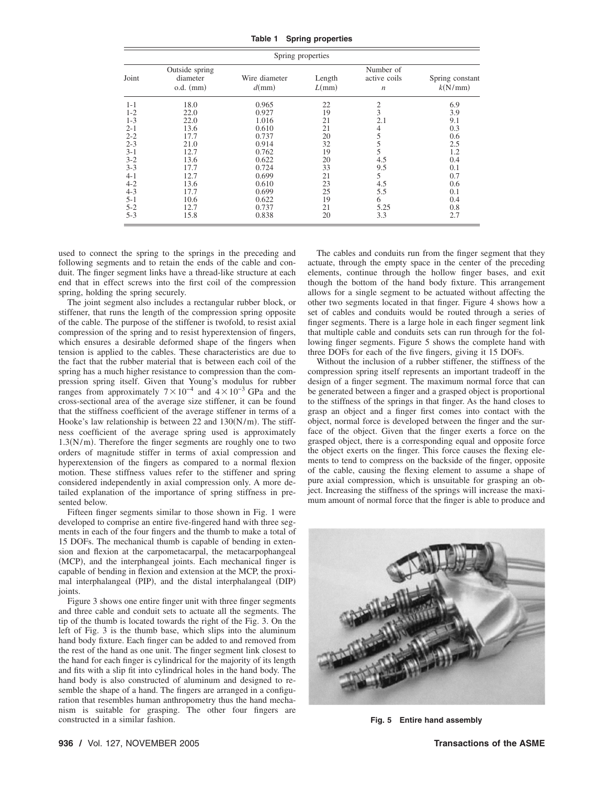**Table 1 Spring properties**

| Spring properties                                                                                                                                    |                                                                                                              |                                                                                                                            |                                                                                  |                                                                                              |                                                                                                |  |
|------------------------------------------------------------------------------------------------------------------------------------------------------|--------------------------------------------------------------------------------------------------------------|----------------------------------------------------------------------------------------------------------------------------|----------------------------------------------------------------------------------|----------------------------------------------------------------------------------------------|------------------------------------------------------------------------------------------------|--|
| Joint                                                                                                                                                | Outside spring<br>diameter<br>$o.d.$ (mm)                                                                    | Wire diameter<br>$d$ (mm)                                                                                                  | Length<br>L(mm)                                                                  | Number of<br>active coils<br>$\boldsymbol{n}$                                                | Spring constant<br>k(N/mm)                                                                     |  |
| $1 - 1$<br>$1 - 2$<br>$1 - 3$<br>$2 - 1$<br>$2 - 2$<br>$2 - 3$<br>$3-1$<br>$3 - 2$<br>$3 - 3$<br>$4 - 1$<br>$4 - 2$<br>$4 - 3$<br>$5 - 1$<br>$5 - 2$ | 18.0<br>22.0<br>22.0<br>13.6<br>17.7<br>21.0<br>12.7<br>13.6<br>17.7<br>12.7<br>13.6<br>17.7<br>10.6<br>12.7 | 0.965<br>0.927<br>1.016<br>0.610<br>0.737<br>0.914<br>0.762<br>0.622<br>0.724<br>0.699<br>0.610<br>0.699<br>0.622<br>0.737 | 22<br>19<br>21<br>21<br>20<br>32<br>19<br>20<br>33<br>21<br>23<br>25<br>19<br>21 | 2<br>$\overline{3}$<br>2.1<br>4<br>5<br>5<br>5<br>4.5<br>9.5<br>5<br>4.5<br>5.5<br>6<br>5.25 | 6.9<br>3.9<br>9.1<br>0.3<br>0.6<br>2.5<br>1.2<br>0.4<br>0.1<br>0.7<br>0.6<br>0.1<br>0.4<br>0.8 |  |
| $5 - 3$                                                                                                                                              | 15.8                                                                                                         | 0.838                                                                                                                      | 20                                                                               | 3.3                                                                                          | 2.7                                                                                            |  |

used to connect the spring to the springs in the preceding and following segments and to retain the ends of the cable and conduit. The finger segment links have a thread-like structure at each end that in effect screws into the first coil of the compression spring, holding the spring securely.

The joint segment also includes a rectangular rubber block, or stiffener, that runs the length of the compression spring opposite of the cable. The purpose of the stiffener is twofold, to resist axial compression of the spring and to resist hyperextension of fingers, which ensures a desirable deformed shape of the fingers when tension is applied to the cables. These characteristics are due to the fact that the rubber material that is between each coil of the spring has a much higher resistance to compression than the compression spring itself. Given that Young's modulus for rubber ranges from approximately  $7 \times 10^{-4}$  and  $4 \times 10^{-3}$  GPa and the cross-sectional area of the average size stiffener, it can be found that the stiffness coefficient of the average stiffener in terms of a Hooke's law relationship is between 22 and  $130(N/m)$ . The stiffness coefficient of the average spring used is approximately  $1.3(N/m)$ . Therefore the finger segments are roughly one to two orders of magnitude stiffer in terms of axial compression and hyperextension of the fingers as compared to a normal flexion motion. These stiffness values refer to the stiffener and spring considered independently in axial compression only. A more detailed explanation of the importance of spring stiffness in presented below.

Fifteen finger segments similar to those shown in Fig. 1 were developed to comprise an entire five-fingered hand with three segments in each of the four fingers and the thumb to make a total of 15 DOFs. The mechanical thumb is capable of bending in extension and flexion at the carpometacarpal, the metacarpophangeal MCP, and the interphangeal joints. Each mechanical finger is capable of bending in flexion and extension at the MCP, the proximal interphalangeal (PIP), and the distal interphalangeal (DIP) joints.

Figure 3 shows one entire finger unit with three finger segments and three cable and conduit sets to actuate all the segments. The tip of the thumb is located towards the right of the Fig. 3. On the left of Fig. 3 is the thumb base, which slips into the aluminum hand body fixture. Each finger can be added to and removed from the rest of the hand as one unit. The finger segment link closest to the hand for each finger is cylindrical for the majority of its length and fits with a slip fit into cylindrical holes in the hand body. The hand body is also constructed of aluminum and designed to resemble the shape of a hand. The fingers are arranged in a configuration that resembles human anthropometry thus the hand mechanism is suitable for grasping. The other four fingers are constructed in a similar fashion.

The cables and conduits run from the finger segment that they actuate, through the empty space in the center of the preceding elements, continue through the hollow finger bases, and exit though the bottom of the hand body fixture. This arrangement allows for a single segment to be actuated without affecting the other two segments located in that finger. Figure 4 shows how a set of cables and conduits would be routed through a series of finger segments. There is a large hole in each finger segment link that multiple cable and conduits sets can run through for the following finger segments. Figure 5 shows the complete hand with three DOFs for each of the five fingers, giving it 15 DOFs.

Without the inclusion of a rubber stiffener, the stiffness of the compression spring itself represents an important tradeoff in the design of a finger segment. The maximum normal force that can be generated between a finger and a grasped object is proportional to the stiffness of the springs in that finger. As the hand closes to grasp an object and a finger first comes into contact with the object, normal force is developed between the finger and the surface of the object. Given that the finger exerts a force on the grasped object, there is a corresponding equal and opposite force the object exerts on the finger. This force causes the flexing elements to tend to compress on the backside of the finger, opposite of the cable, causing the flexing element to assume a shape of pure axial compression, which is unsuitable for grasping an object. Increasing the stiffness of the springs will increase the maximum amount of normal force that the finger is able to produce and



**Fig. 5 Entire hand assembly**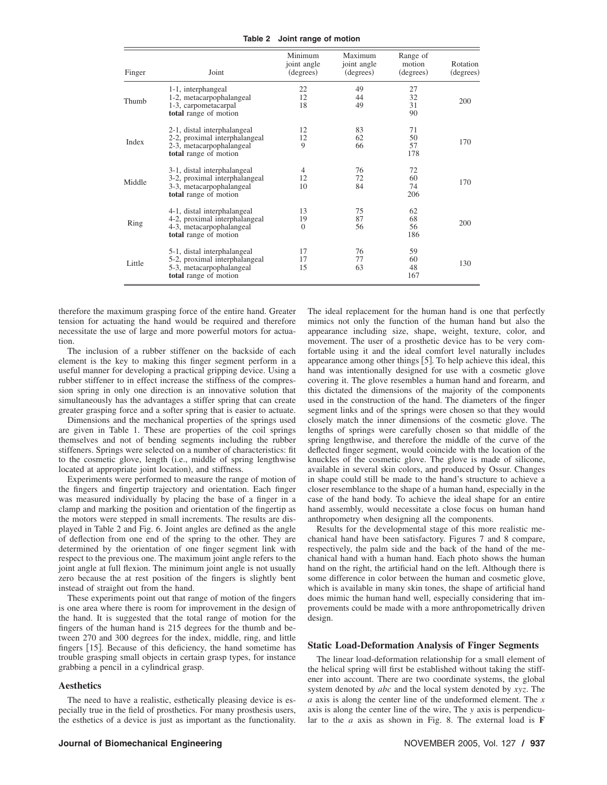| Finger | Joint                                                                                                             | Minimum<br>joint angle<br>(degrees) | Maximum<br>joint angle<br>(degrees) | Range of<br>motion<br>(degrees) | Rotation<br>(degrees) |
|--------|-------------------------------------------------------------------------------------------------------------------|-------------------------------------|-------------------------------------|---------------------------------|-----------------------|
| Thumb  | 1-1, interphangeal<br>1-2, metacarpophalangeal<br>1-3, carpometacarpal<br>total range of motion                   | 22<br>12<br>18                      | 49<br>44<br>49                      | 27<br>32<br>31<br>90            | 200                   |
| Index  | 2-1, distal interphalangeal<br>2-2, proximal interphalangeal<br>2-3, metacarpophalangeal<br>total range of motion | 12<br>12<br>$\mathbf Q$             | 83<br>62<br>66                      | 71<br>50<br>57<br>178           | 170                   |
| Middle | 3-1, distal interphalangeal<br>3-2, proximal interphalangeal<br>3-3, metacarpophalangeal<br>total range of motion | $\overline{4}$<br>12<br>10          | 76<br>72<br>84                      | 72<br>60<br>74<br>206           | 170                   |
| Ring   | 4-1, distal interphalangeal<br>4-2, proximal interphalangeal<br>4-3, metacarpophalangeal<br>total range of motion | 13<br>19<br>$\Omega$                | 75<br>87<br>56                      | 62<br>68<br>56<br>186           | 200                   |
| Little | 5-1, distal interphalangeal<br>5-2, proximal interphalangeal<br>5-3, metacarpophalangeal<br>total range of motion | 17<br>17<br>15                      | 76<br>77<br>63                      | 59<br>60<br>48<br>167           | 130                   |

therefore the maximum grasping force of the entire hand. Greater tension for actuating the hand would be required and therefore necessitate the use of large and more powerful motors for actuation.

The inclusion of a rubber stiffener on the backside of each element is the key to making this finger segment perform in a useful manner for developing a practical gripping device. Using a rubber stiffener to in effect increase the stiffness of the compression spring in only one direction is an innovative solution that simultaneously has the advantages a stiffer spring that can create greater grasping force and a softer spring that is easier to actuate.

Dimensions and the mechanical properties of the springs used are given in Table 1. These are properties of the coil springs themselves and not of bending segments including the rubber stiffeners. Springs were selected on a number of characteristics: fit to the cosmetic glove, length i.e., middle of spring lengthwise located at appropriate joint location), and stiffness.

Experiments were performed to measure the range of motion of the fingers and fingertip trajectory and orientation. Each finger was measured individually by placing the base of a finger in a clamp and marking the position and orientation of the fingertip as the motors were stepped in small increments. The results are displayed in Table 2 and Fig. 6. Joint angles are defined as the angle of deflection from one end of the spring to the other. They are determined by the orientation of one finger segment link with respect to the previous one. The maximum joint angle refers to the joint angle at full flexion. The minimum joint angle is not usually zero because the at rest position of the fingers is slightly bent instead of straight out from the hand.

These experiments point out that range of motion of the fingers is one area where there is room for improvement in the design of the hand. It is suggested that the total range of motion for the fingers of the human hand is 215 degrees for the thumb and between 270 and 300 degrees for the index, middle, ring, and little fingers [15]. Because of this deficiency, the hand sometime has trouble grasping small objects in certain grasp types, for instance grabbing a pencil in a cylindrical grasp.

#### **Aesthetics**

The need to have a realistic, esthetically pleasing device is especially true in the field of prosthetics. For many prosthesis users, the esthetics of a device is just as important as the functionality. The ideal replacement for the human hand is one that perfectly mimics not only the function of the human hand but also the appearance including size, shape, weight, texture, color, and movement. The user of a prosthetic device has to be very comfortable using it and the ideal comfort level naturally includes appearance among other things [5]. To help achieve this ideal, this hand was intentionally designed for use with a cosmetic glove covering it. The glove resembles a human hand and forearm, and this dictated the dimensions of the majority of the components used in the construction of the hand. The diameters of the finger segment links and of the springs were chosen so that they would closely match the inner dimensions of the cosmetic glove. The lengths of springs were carefully chosen so that middle of the spring lengthwise, and therefore the middle of the curve of the deflected finger segment, would coincide with the location of the knuckles of the cosmetic glove. The glove is made of silicone, available in several skin colors, and produced by Ossur. Changes in shape could still be made to the hand's structure to achieve a closer resemblance to the shape of a human hand, especially in the case of the hand body. To achieve the ideal shape for an entire hand assembly, would necessitate a close focus on human hand anthropometry when designing all the components.

Results for the developmental stage of this more realistic mechanical hand have been satisfactory. Figures 7 and 8 compare, respectively, the palm side and the back of the hand of the mechanical hand with a human hand. Each photo shows the human hand on the right, the artificial hand on the left. Although there is some difference in color between the human and cosmetic glove, which is available in many skin tones, the shape of artificial hand does mimic the human hand well, especially considering that improvements could be made with a more anthropometrically driven design.

#### **Static Load-Deformation Analysis of Finger Segments**

The linear load-deformation relationship for a small element of the helical spring will first be established without taking the stiffener into account. There are two coordinate systems, the global system denoted by *abc* and the local system denoted by *xyz*. The *a* axis is along the center line of the undeformed element. The *x* axis is along the center line of the wire, The *y* axis is perpendicular to the *a* axis as shown in Fig. 8. The external load is **F**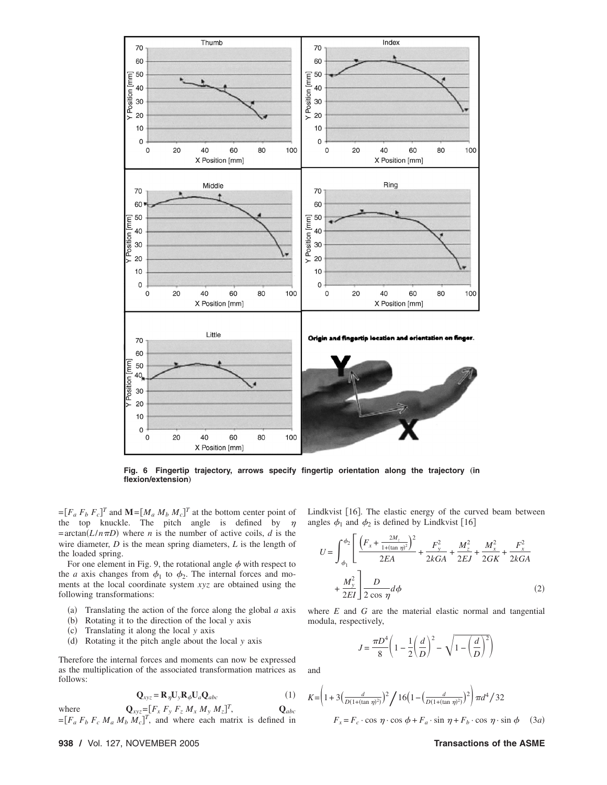

Fig. 6 Fingertip trajectory, arrows specify fingertip orientation along the trajectory (in **flexion/extension**…

 $=[F_a F_b F_c]^T$  and  $\mathbf{M} = [M_a M_b M_c]^T$  at the bottom center point of the top knuckle. The pitch angle is defined by  $\eta$  $=$ arctan( $L/n\pi D$ ) where *n* is the number of active coils, *d* is the wire diameter, *D* is the mean spring diameters, *L* is the length of the loaded spring.

For one element in Fig. 9, the rotational angle  $\phi$  with respect to the *a* axis changes from  $\phi_1$  to  $\phi_2$ . The internal forces and moments at the local coordinate system *xyz* are obtained using the following transformations:

- (a) Translating the action of the force along the global  $a$  axis
- b Rotating it to the direction of the local *y* axis
- c Translating it along the local *y* axis
- (d) Rotating it the pitch angle about the local *y* axis

Therefore the internal forces and moments can now be expressed as the multiplication of the associated transformation matrices as follows:

$$
\mathbf{Q}_{xyz} = \mathbf{R}_{\eta} \mathbf{U}_{y} \mathbf{R}_{\phi} \mathbf{U}_{a} \mathbf{Q}_{abc} \tag{1}
$$

where  $Q_{xyz} = [F_x F_y F_z M_x M_y M_z]$ *<sup>T</sup>*, **Q***abc*  $=[F_a F_b F_c M_a M_b M_c]^T$ , and where each matrix is defined in Lindkvist [16]. The elastic energy of the curved beam between angles  $\phi_1$  and  $\phi_2$  is defined by Lindkvist [16]

 $222 - 22$ 

$$
U = \int_{\phi_1}^{\phi_2} \left[ \frac{\left( F_x + \frac{2M_z}{1 + (\tan \eta)^2} \right)^2}{2EA} + \frac{F_y^2}{2kGA} + \frac{M_z^2}{2EI} + \frac{M_x^2}{2GK} + \frac{F_x^2}{2kGA} + \frac{M_y^2}{2EI} \right] \frac{D}{2 \cos \eta} d\phi
$$
 (2)

where *E* and *G* are the material elastic normal and tangential modula, respectively,

$$
J = \frac{\pi D^4}{8} \left( 1 - \frac{1}{2} \left( \frac{d}{D} \right)^2 - \sqrt{1 - \left( \frac{d}{D} \right)^2} \right)
$$

and

$$
K = \left(1 + 3\left(\frac{d}{D(1 + (\tan \eta)^2)}\right)^2 / 16\left(1 - \left(\frac{d}{D(1 + (\tan \eta)^2)}\right)^2\right) \pi d^4 / 32
$$
  

$$
F_x = F_c \cdot \cos \eta \cdot \cos \phi + F_a \cdot \sin \eta + F_b \cdot \cos \eta \cdot \sin \phi \quad (3a)
$$

**938 /** Vol. 127, NOVEMBER 2005 **Transactions of the ASME**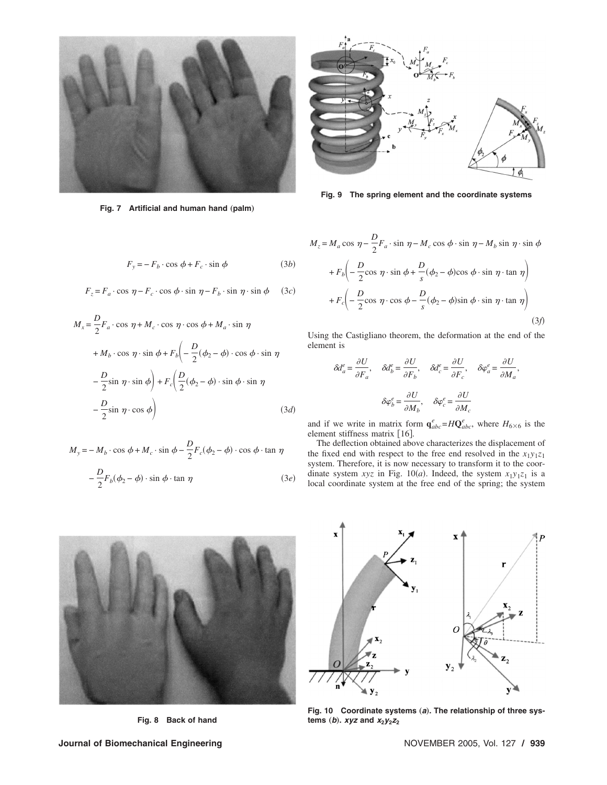

Fig. 7 Artificial and human hand (palm)



**Fig. 9 The spring element and the coordinate systems**

$$
F_y = -F_b \cdot \cos \phi + F_c \cdot \sin \phi \tag{3b}
$$

$$
F_z = F_a \cdot \cos \eta - F_c \cdot \cos \phi \cdot \sin \eta - F_b \cdot \sin \eta \cdot \sin \phi \quad (3c)
$$

$$
M_x = \frac{D}{2} F_a \cdot \cos \eta + M_c \cdot \cos \eta \cdot \cos \phi + M_a \cdot \sin \eta
$$
  
+  $M_b \cdot \cos \eta \cdot \sin \phi + F_b \left( -\frac{D}{2} (\phi_2 - \phi) \cdot \cos \phi \cdot \sin \eta \right)$   
-  $\frac{D}{2} \sin \eta \cdot \sin \phi \left( + \frac{D}{2} (\phi_2 - \phi) \cdot \sin \phi \cdot \sin \eta \right)$   
-  $\frac{D}{2} \sin \eta \cdot \cos \phi$  (3*d*)

$$
M_y = -M_b \cdot \cos \phi + M_c \cdot \sin \phi - \frac{D}{2} F_c (\phi_2 - \phi) \cdot \cos \phi \cdot \tan \eta
$$
  

$$
- \frac{D}{2} F_b (\phi_2 - \phi) \cdot \sin \phi \cdot \tan \eta
$$
 (3*e*)

$$
M_z = M_a \cos \eta - \frac{D}{2} F_a \cdot \sin \eta - M_c \cos \phi \cdot \sin \eta - M_b \sin \eta \cdot \sin \phi
$$
  
+ 
$$
F_b \left( -\frac{D}{2} \cos \eta \cdot \sin \phi + \frac{D}{s} (\phi_2 - \phi) \cos \phi \cdot \sin \eta \cdot \tan \eta \right)
$$
  
+ 
$$
F_c \left( -\frac{D}{2} \cos \eta \cdot \cos \phi - \frac{D}{s} (\phi_2 - \phi) \sin \phi \cdot \sin \eta \cdot \tan \eta \right)
$$
(3*f*)

Using the Castigliano theorem, the deformation at the end of the element is

$$
\begin{aligned} \delta d^e_a = \frac{\partial U}{\partial F_a}, \quad \delta d^e_b = \frac{\partial U}{\partial F_b}, \quad \delta d^e_c = \frac{\partial U}{\partial F_c}, \quad \delta \varphi^e_a = \frac{\partial U}{\partial M_a}, \\ \delta \varphi^e_b = \frac{\partial U}{\partial M_b}, \quad \delta \varphi^e_c = \frac{\partial U}{\partial M_c} \end{aligned}
$$

and if we write in matrix form  $\mathbf{q}_{abc}^e = H \mathbf{Q}_{abc}^e$ , where  $H_{6 \times 6}$  is the element stiffness matrix [16].

The deflection obtained above characterizes the displacement of the fixed end with respect to the free end resolved in the  $x_1y_1z_1$ system. Therefore, it is now necessary to transform it to the coordinate system *xyz* in Fig. 10(*a*). Indeed, the system  $x_1y_1z_1$  is a local coordinate system at the free end of the spring; the system



**Fig. 8 Back of hand**



Fig. 10 Coordinate systems (a). The relationship of three sys- $\tanh{b}$ . *xyz* and  $x_2y_2z_2$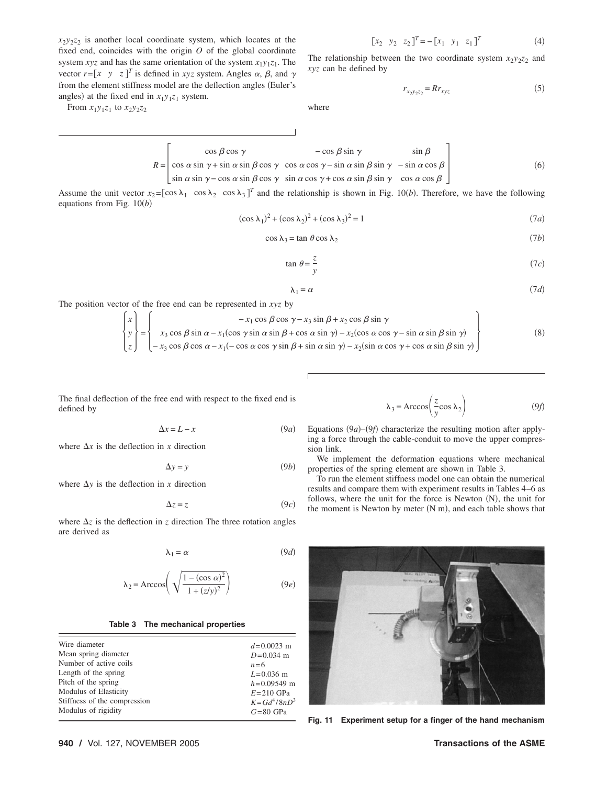$$
x_2y_2z_2
$$
 is another local coordinate system, which locates at the fixed end, coincides with the origin *O* of the global coordinate system *xyz* and has the same orientation of the system  $x_1y_1z_1$ . The vector  $r=[x \ y \ z]^T$  is defined in *xyz* system. Angles  $\alpha$ ,  $\beta$ , and  $\gamma$  from the element stiffness model are the deflection angles (Euler's angles) at the fixed end in  $x_1y_1z_1$  system.

From 
$$
x_1y_1z_1
$$
 to  $x_2y_2z_2$ 

 $[x_2 \ y_2 \ z_2]^T = -[x_1 \ y_1 \ z_1]$  $(4)$ 

The relationship between the two coordinate system  $x_2y_2z_2$  and *xyz* can be defined by

$$
r_{x_2y_2z_2} = R r_{xyz} \tag{5}
$$

where

$$
R = \begin{bmatrix} \cos \beta \cos \gamma & -\cos \beta \sin \gamma & \sin \beta \\ \cos \alpha \sin \gamma + \sin \alpha \sin \beta \cos \gamma & \cos \alpha \cos \gamma - \sin \alpha \sin \beta \sin \gamma & -\sin \alpha \cos \beta \\ \sin \alpha \sin \gamma - \cos \alpha \sin \beta \cos \gamma & \sin \alpha \cos \gamma + \cos \alpha \sin \beta \sin \gamma & \cos \alpha \cos \beta \end{bmatrix}
$$
(6)

Assume the unit vector  $x_2 = [\cos \lambda_1 \cos \lambda_2 \cos \lambda_3]^T$  and the relationship is shown in Fig. 10*(b)*. Therefore, we have the following equations from Fig. 10*b*

$$
(\cos \lambda_1)^2 + (\cos \lambda_2)^2 + (\cos \lambda_3)^2 = 1
$$
\n(7*a*)

$$
\cos \lambda_3 = \tan \theta \cos \lambda_2 \tag{7b}
$$

$$
\tan \theta = \frac{z}{y} \tag{7c}
$$

$$
\lambda_1 = \alpha \tag{7d}
$$

The position vector of the free end can be represented in 
$$
xyz
$$
 by

$$
\begin{Bmatrix} x \\ y \\ z \end{Bmatrix} = \begin{Bmatrix} -x_1 \cos \beta \cos \gamma - x_3 \sin \beta + x_2 \cos \beta \sin \gamma \\ x_3 \cos \beta \sin \alpha - x_1 (\cos \gamma \sin \alpha \sin \beta + \cos \alpha \sin \gamma) - x_2 (\cos \alpha \cos \gamma - \sin \alpha \sin \beta \sin \gamma) \\ -x_3 \cos \beta \cos \alpha - x_1 (-\cos \alpha \cos \gamma \sin \beta + \sin \alpha \sin \gamma) - x_2 (\sin \alpha \cos \gamma + \cos \alpha \sin \beta \sin \gamma) \end{Bmatrix}
$$
(8)

The final deflection of the free end with respect to the fixed end is defined by

$$
\Delta x = L - x \tag{9a}
$$

where  $\Delta x$  is the deflection in *x* direction

$$
\Delta y = y \tag{9b}
$$

where  $\Delta y$  is the deflection in *x* direction

$$
\Delta z = z \tag{9c}
$$

where  $\Delta z$  is the deflection in *z* direction The three rotation angles are derived as

$$
\lambda_1 = \alpha \tag{9d}
$$

$$
\lambda_2 = \text{Arccos}\left(\sqrt{\frac{1 - (\cos \alpha)^2}{1 + (z/y)^2}}\right) \tag{9e}
$$

#### **Table 3 The mechanical properties**

| $d = 0.0023$ m<br>$D = 0.034$ m<br>$n=6$<br>$L = 0.036$ m<br>$h = 0.09549$ m<br>$E=210$ GPa<br>$K = Gd^4/8nD^3$ |
|-----------------------------------------------------------------------------------------------------------------|
| $G = 80$ GPa                                                                                                    |
|                                                                                                                 |

$$
\lambda_3 = \text{Arccos}\left(\frac{z}{y}\cos\lambda_2\right) \tag{9f}
$$

Equations  $(9a)$ – $(9f)$  characterize the resulting motion after applying a force through the cable-conduit to move the upper compression link.

We implement the deformation equations where mechanical properties of the spring element are shown in Table 3.

To run the element stiffness model one can obtain the numerical results and compare them with experiment results in Tables 4–6 as follows, where the unit for the force is Newton  $(N)$ , the unit for the moment is Newton by meter  $(N \, \text{m})$ , and each table shows that



**Fig. 11 Experiment setup for a finger of the hand mechanism**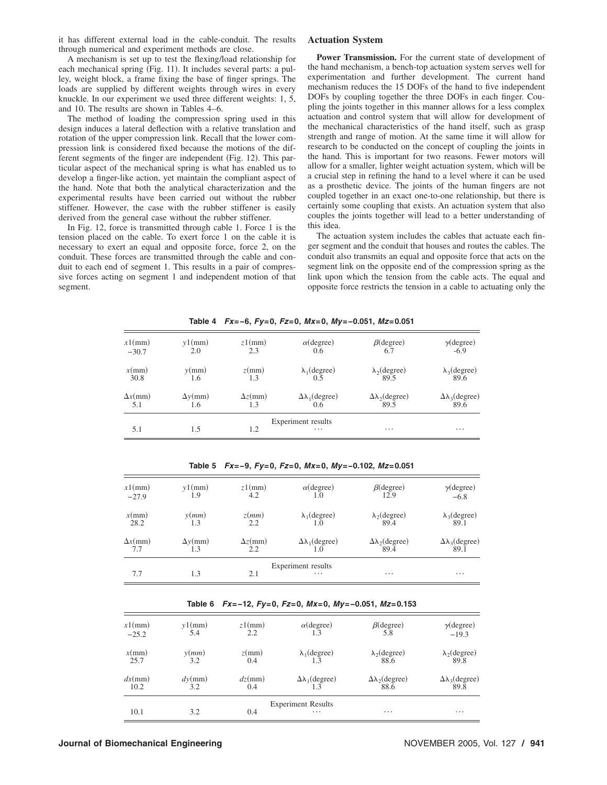it has different external load in the cable-conduit. The results through numerical and experiment methods are close.

A mechanism is set up to test the flexing/load relationship for each mechanical spring (Fig. 11). It includes several parts: a pulley, weight block, a frame fixing the base of finger springs. The loads are supplied by different weights through wires in every knuckle. In our experiment we used three different weights: 1, 5, and 10. The results are shown in Tables 4–6.

The method of loading the compression spring used in this design induces a lateral deflection with a relative translation and rotation of the upper compression link. Recall that the lower compression link is considered fixed because the motions of the different segments of the finger are independent (Fig. 12). This particular aspect of the mechanical spring is what has enabled us to develop a finger-like action, yet maintain the compliant aspect of the hand. Note that both the analytical characterization and the experimental results have been carried out without the rubber stiffener. However, the case with the rubber stiffener is easily derived from the general case without the rubber stiffener.

In Fig. 12, force is transmitted through cable 1. Force 1 is the tension placed on the cable. To exert force 1 on the cable it is necessary to exert an equal and opposite force, force 2, on the conduit. These forces are transmitted through the cable and conduit to each end of segment 1. This results in a pair of compressive forces acting on segment 1 and independent motion of that segment.

#### **Actuation System**

**Power Transmission.** For the current state of development of the hand mechanism, a bench-top actuation system serves well for experimentation and further development. The current hand mechanism reduces the 15 DOFs of the hand to five independent DOFs by coupling together the three DOFs in each finger. Coupling the joints together in this manner allows for a less complex actuation and control system that will allow for development of the mechanical characteristics of the hand itself, such as grasp strength and range of motion. At the same time it will allow for research to be conducted on the concept of coupling the joints in the hand. This is important for two reasons. Fewer motors will allow for a smaller, lighter weight actuation system, which will be a crucial step in refining the hand to a level where it can be used as a prosthetic device. The joints of the human fingers are not coupled together in an exact one-to-one relationship, but there is certainly some coupling that exists. An actuation system that also couples the joints together will lead to a better understanding of this idea.

The actuation system includes the cables that actuate each finger segment and the conduit that houses and routes the cables. The conduit also transmits an equal and opposite force that acts on the segment link on the opposite end of the compression spring as the link upon which the tension from the cable acts. The equal and opposite force restricts the tension in a cable to actuating only the

| $x1$ (mm)       | v1(mm)          | $z1$ (mm)       | $\alpha$ (degree)             | $\beta$ (degree)           | $\gamma$ (degree)          |
|-----------------|-----------------|-----------------|-------------------------------|----------------------------|----------------------------|
| $-30.7$         | 2.0             | 2.3             | 0.6                           | 67                         | $-6.9$                     |
| $x$ (mm)        | y(mm)           | $z$ (mm)        | $\lambda_1$ (degree)          | $\lambda_2$ (degree)       | $\lambda_3$ (degree)       |
| 30.8            | 1.6             | 13              | 0.5                           | 89.5                       | 89.6                       |
| $\Delta x$ (mm) | $\Delta y$ (mm) | $\Delta z$ (mm) | $\Delta\lambda_1$ (degree)    | $\Delta\lambda_2$ (degree) | $\Delta\lambda_3$ (degree) |
| 5.1             | 1.6             | 13              | 0 <sub>6</sub>                | 89.5                       | 89.6                       |
| 5.1             | 1.5             | 1.2             | Experiment results<br>$\cdot$ | $\cdots$                   | $\cdots$                   |

**Table 4** *Fx***=−6,** *Fy***=0,** *Fz***=0,** *Mx***=0,** *My***=−0.051,** *Mz***=0.051**

**Table 5** *Fx***=−9,** *Fy***=0,** *Fz***=0,** *Mx***=0,** *My***=−0.102,** *Mz***=0.051**

| $x1$ (mm)<br>$-27.9$ | $v1$ (mm)<br>1.9 | $z1$ (mm)<br>4.2      | $\alpha$ (degree)<br>1.0          | $\beta$ (degree)<br>129                   | $\gamma$ (degree)<br>$-6.8$        |
|----------------------|------------------|-----------------------|-----------------------------------|-------------------------------------------|------------------------------------|
| $x$ (mm)<br>28.2     | y(mm)<br>13      | z(mm)<br>22           | $\lambda_1$ (degree)<br>10        | $\lambda_2$ (degree)<br>89.4              | $\lambda_3$ (degree)<br>89.1       |
| $\Delta x$ (mm)      | $\Delta y$ (mm)  | $\Delta z$ (mm)<br>22 | $\Delta\lambda_1$ (degree)<br>1.0 | $\Delta\lambda_2$ (degree)<br>$89\bar{4}$ | $\Delta\lambda_3$ (degree)<br>89.1 |
| 7.7                  | 1.3              | 2.1                   | Experiment results<br>.           | $\cdots$                                  | $\cdots$                           |

#### **Table 6** *Fx***=−12,** *Fy***=0,** *Fz***=0,** *Mx***=0,** *My***=−0.051,** *Mz***=0.153**

| $x1$ (mm) | v1(mm)    | $z1$ (mm) | $\alpha$ (degree)                                    | $\beta$ (degree)           | $\gamma$ (degree)          |
|-----------|-----------|-----------|------------------------------------------------------|----------------------------|----------------------------|
| $-25.2$   | 5.4       | 2.2       | 13                                                   | 5.8                        | $-19.3$                    |
| $x$ (mm)  | v(mm)     | $z$ (mm)  | $\lambda_1$ (degree)                                 | $\lambda_2$ (degree)       | $\lambda_2$ (degree)       |
| 25.7      | 3.2       | 0.4       |                                                      | 88.6                       | 89.8                       |
| $dx$ (mm) | $dv$ (mm) | $dz$ (mm) | $\Delta\lambda_1$ (degree)                           | $\Delta\lambda_2$ (degree) | $\Delta\lambda_3$ (degree) |
| 10.2      | 3.2       | 0.4       | 13                                                   | 88.6                       | 89.8                       |
| 10.1      | 3.2       | 0.4       | <b>Experiment Results</b><br>$\cdot$ $\cdot$ $\cdot$ | $\cdots$                   | $\cdots$                   |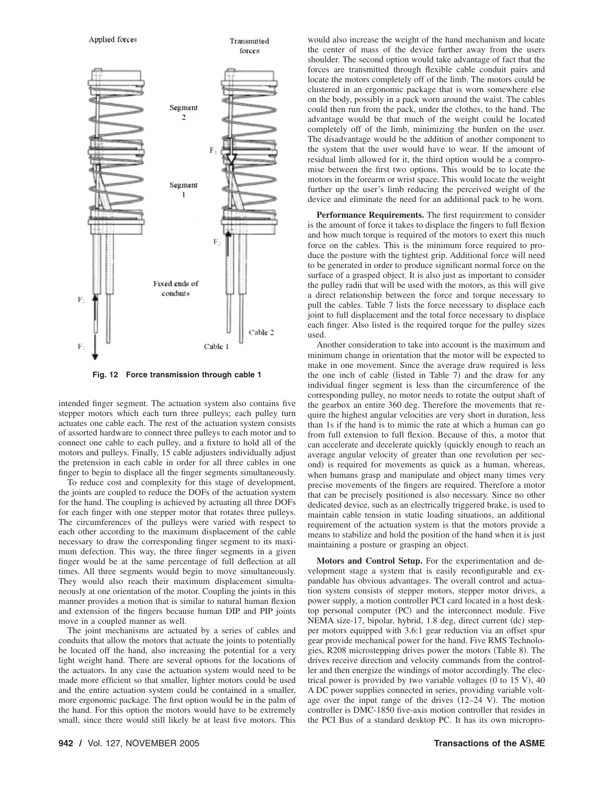

**Fig. 12 Force transmission through cable 1**

intended finger segment. The actuation system also contains five stepper motors which each turn three pulleys; each pulley turn actuates one cable each. The rest of the actuation system consists of assorted hardware to connect three pulleys to each motor and to connect one cable to each pulley, and a fixture to hold all of the motors and pulleys. Finally, 15 cable adjusters individually adjust the pretension in each cable in order for all three cables in one finger to begin to displace all the finger segments simultaneously.

To reduce cost and complexity for this stage of development, the joints are coupled to reduce the DOFs of the actuation system for the hand. The coupling is achieved by actuating all three DOFs for each finger with one stepper motor that rotates three pulleys. The circumferences of the pulleys were varied with respect to each other according to the maximum displacement of the cable necessary to draw the corresponding finger segment to its maximum defection. This way, the three finger segments in a given finger would be at the same percentage of full deflection at all times. All three segments would begin to move simultaneously. They would also reach their maximum displacement simultaneously at one orientation of the motor. Coupling the joints in this manner provides a motion that is similar to natural human flexion and extension of the fingers because human DIP and PIP joints move in a coupled manner as well.

The joint mechanisms are actuated by a series of cables and conduits that allow the motors that actuate the joints to potentially be located off the hand, also increasing the potential for a very light weight hand. There are several options for the locations of the actuators. In any case the actuation system would need to be made more efficient so that smaller, lighter motors could be used and the entire actuation system could be contained in a smaller, more ergonomic package. The first option would be in the palm of the hand. For this option the motors would have to be extremely small, since there would still likely be at least five motors. This would also increase the weight of the hand mechanism and locate the center of mass of the device further away from the users shoulder. The second option would take advantage of fact that the forces are transmitted through flexible cable conduit pairs and locate the motors completely off of the limb. The motors could be clustered in an ergonomic package that is worn somewhere else on the body, possibly in a pack worn around the waist. The cables could then run from the pack, under the clothes, to the hand. The advantage would be that much of the weight could be located completely off of the limb, minimizing the burden on the user. The disadvantage would be the addition of another component to the system that the user would have to wear. If the amount of residual limb allowed for it, the third option would be a compromise between the first two options. This would be to locate the motors in the forearm or wrist space. This would locate the weight further up the user's limb reducing the perceived weight of the device and eliminate the need for an additional pack to be worn.

**Performance Requirements.** The first requirement to consider is the amount of force it takes to displace the fingers to full flexion and how much torque is required of the motors to exert this much force on the cables. This is the minimum force required to produce the posture with the tightest grip. Additional force will need to be generated in order to produce significant normal force on the surface of a grasped object. It is also just as important to consider the pulley radii that will be used with the motors, as this will give a direct relationship between the force and torque necessary to pull the cables. Table 7 lists the force necessary to displace each joint to full displacement and the total force necessary to displace each finger. Also listed is the required torque for the pulley sizes used.

Another consideration to take into account is the maximum and minimum change in orientation that the motor will be expected to make in one movement. Since the average draw required is less the one inch of cable (listed in Table  $7)$  and the draw for any individual finger segment is less than the circumference of the corresponding pulley, no motor needs to rotate the output shaft of the gearbox an entire 360 deg. Therefore the movements that require the highest angular velocities are very short in duration, less than 1s if the hand is to mimic the rate at which a human can go from full extension to full flexion. Because of this, a motor that can accelerate and decelerate quickly quickly enough to reach an average angular velocity of greater than one revolution per second) is required for movements as quick as a human, whereas, when humans grasp and manipulate and object many times very precise movements of the fingers are required. Therefore a motor that can be precisely positioned is also necessary. Since no other dedicated device, such as an electrically triggered brake, is used to maintain cable tension in static loading situations, an additional requirement of the actuation system is that the motors provide a means to stabilize and hold the position of the hand when it is just maintaining a posture or grasping an object.

**Motors and Control Setup.** For the experimentation and development stage a system that is easily reconfigurable and expandable has obvious advantages. The overall control and actuation system consists of stepper motors, stepper motor drives, a power supply, a motion controller PCI card located in a host desktop personal computer (PC) and the interconnect module. Five NEMA size-17, bipolar, hybrid, 1.8 deg, direct current (dc) stepper motors equipped with 3.6:1 gear reduction via an offset spur gear provide mechanical power for the hand. Five RMS Technologies, R208 microstepping drives power the motors (Table 8). The drives receive direction and velocity commands from the controller and then energize the windings of motor accordingly. The electrical power is provided by two variable voltages  $(0 \text{ to } 15 \text{ V})$ ,  $40$ A DC power supplies connected in series, providing variable voltage over the input range of the drives  $(12–24 \text{ V})$ . The motion controller is DMC-1850 five-axis motion controller that resides in the PCI Bus of a standard desktop PC. It has its own micropro-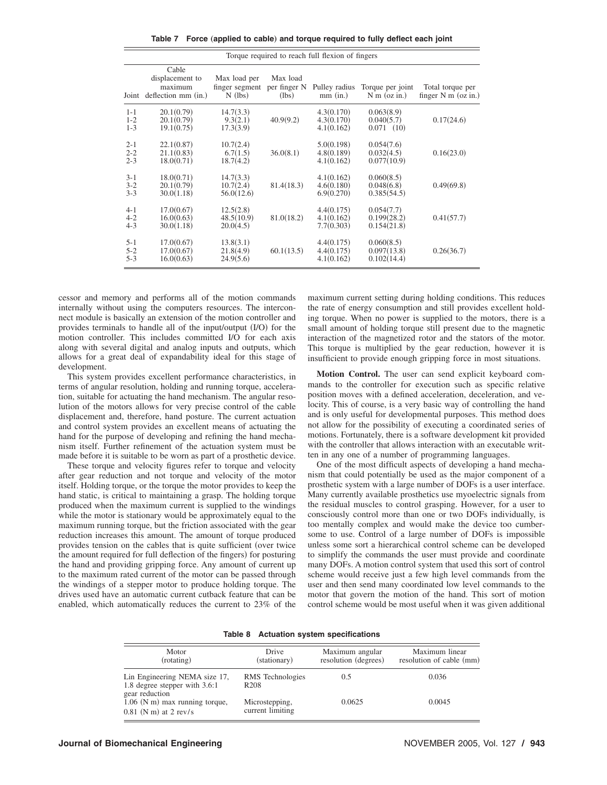Table 7 Force (applied to cable) and torque required to fully deflect each joint

|                               | Torque required to reach full flexion of fingers           |                                             |                                   |                                        |                                          |                                           |  |
|-------------------------------|------------------------------------------------------------|---------------------------------------------|-----------------------------------|----------------------------------------|------------------------------------------|-------------------------------------------|--|
| Joint                         | Cable<br>displacement to<br>maximum<br>deflection mm (in.) | Max load per<br>finger segment<br>$N$ (lbs) | Max load<br>per finger N<br>(lbs) | Pulley radius<br>$mm$ (in.)            | Torque per joint<br>$N$ m (oz in.)       | Total torque per<br>finger $N$ m (oz in.) |  |
| $1 - 1$<br>$1 - 2$<br>$1 - 3$ | 20.1(0.79)<br>20.1(0.79)<br>19.1(0.75)                     | 14.7(3.3)<br>9.3(2.1)<br>17.3(3.9)          | 40.9(9.2)                         | 4.3(0.170)<br>4.3(0.170)<br>4.1(0.162) | 0.063(8.9)<br>0.040(5.7)<br>0.071(10)    | 0.17(24.6)                                |  |
| $2 - 1$<br>$2 - 2$<br>$2 - 3$ | 22.1(0.87)<br>21.1(0.83)<br>18.0(0.71)                     | 10.7(2.4)<br>6.7(1.5)<br>18.7(4.2)          | 36.0(8.1)                         | 5.0(0.198)<br>4.8(0.189)<br>4.1(0.162) | 0.054(7.6)<br>0.032(4.5)<br>0.077(10.9)  | 0.16(23.0)                                |  |
| $3 - 1$<br>$3 - 2$<br>$3 - 3$ | 18.0(0.71)<br>20.1(0.79)<br>30.0(1.18)                     | 14.7(3.3)<br>10.7(2.4)<br>56.0(12.6)        | 81.4(18.3)                        | 4.1(0.162)<br>4.6(0.180)<br>6.9(0.270) | 0.060(8.5)<br>0.048(6.8)<br>0.385(54.5)  | 0.49(69.8)                                |  |
| $4 - 1$<br>$4 - 2$<br>$4 - 3$ | 17.0(0.67)<br>16.0(0.63)<br>30.0(1.18)                     | 12.5(2.8)<br>48.5(10.9)<br>20.0(4.5)        | 81.0(18.2)                        | 4.4(0.175)<br>4.1(0.162)<br>7.7(0.303) | 0.054(7.7)<br>0.199(28.2)<br>0.154(21.8) | 0.41(57.7)                                |  |
| $5 - 1$<br>$5 - 2$<br>$5 - 3$ | 17.0(0.67)<br>17.0(0.67)<br>16.0(0.63)                     | 13.8(3.1)<br>21.8(4.9)<br>24.9(5.6)         | 60.1(13.5)                        | 4.4(0.175)<br>4.4(0.175)<br>4.1(0.162) | 0.060(8.5)<br>0.097(13.8)<br>0.102(14.4) | 0.26(36.7)                                |  |

cessor and memory and performs all of the motion commands internally without using the computers resources. The interconnect module is basically an extension of the motion controller and provides terminals to handle all of the input/output (I/O) for the motion controller. This includes committed I/O for each axis along with several digital and analog inputs and outputs, which allows for a great deal of expandability ideal for this stage of development.

This system provides excellent performance characteristics, in terms of angular resolution, holding and running torque, acceleration, suitable for actuating the hand mechanism. The angular resolution of the motors allows for very precise control of the cable displacement and, therefore, hand posture. The current actuation and control system provides an excellent means of actuating the hand for the purpose of developing and refining the hand mechanism itself. Further refinement of the actuation system must be made before it is suitable to be worn as part of a prosthetic device.

These torque and velocity figures refer to torque and velocity after gear reduction and not torque and velocity of the motor itself. Holding torque, or the torque the motor provides to keep the hand static, is critical to maintaining a grasp. The holding torque produced when the maximum current is supplied to the windings while the motor is stationary would be approximately equal to the maximum running torque, but the friction associated with the gear reduction increases this amount. The amount of torque produced provides tension on the cables that is quite sufficient (over twice the amount required for full deflection of the fingers) for posturing the hand and providing gripping force. Any amount of current up to the maximum rated current of the motor can be passed through the windings of a stepper motor to produce holding torque. The drives used have an automatic current cutback feature that can be enabled, which automatically reduces the current to 23% of the maximum current setting during holding conditions. This reduces the rate of energy consumption and still provides excellent holding torque. When no power is supplied to the motors, there is a small amount of holding torque still present due to the magnetic interaction of the magnetized rotor and the stators of the motor. This torque is multiplied by the gear reduction, however it is insufficient to provide enough gripping force in most situations.

**Motion Control.** The user can send explicit keyboard commands to the controller for execution such as specific relative position moves with a defined acceleration, deceleration, and velocity. This of course, is a very basic way of controlling the hand and is only useful for developmental purposes. This method does not allow for the possibility of executing a coordinated series of motions. Fortunately, there is a software development kit provided with the controller that allows interaction with an executable written in any one of a number of programming languages.

One of the most difficult aspects of developing a hand mechanism that could potentially be used as the major component of a prosthetic system with a large number of DOFs is a user interface. Many currently available prosthetics use myoelectric signals from the residual muscles to control grasping. However, for a user to consciously control more than one or two DOFs individually, is too mentally complex and would make the device too cumbersome to use. Control of a large number of DOFs is impossible unless some sort a hierarchical control scheme can be developed to simplify the commands the user must provide and coordinate many DOFs. A motion control system that used this sort of control scheme would receive just a few high level commands from the user and then send many coordinated low level commands to the motor that govern the motion of the hand. This sort of motion control scheme would be most useful when it was given additional

| Table 8 |  |  | <b>Actuation system specifications</b> |
|---------|--|--|----------------------------------------|
|---------|--|--|----------------------------------------|

| Drive<br>(stationary)                | Maximum angular<br>resolution (degrees) | Maximum linear<br>resolution of cable (mm) |
|--------------------------------------|-----------------------------------------|--------------------------------------------|
| RMS Technologies<br>R <sub>208</sub> | 0.5                                     | 0.036                                      |
| Microstepping,<br>current limiting   | 0.0625                                  | 0.0045                                     |
|                                      |                                         |                                            |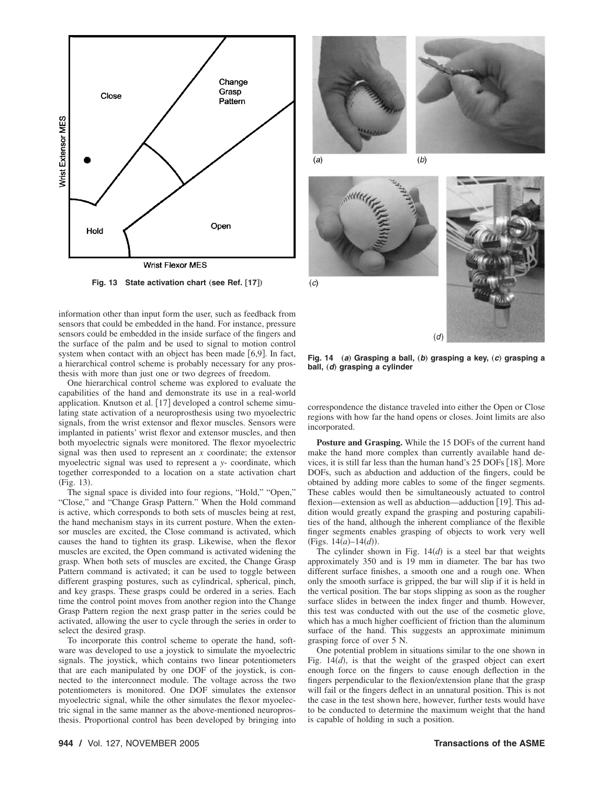

**Fig. 13** State activation chart (see Ref. [17])

information other than input form the user, such as feedback from sensors that could be embedded in the hand. For instance, pressure sensors could be embedded in the inside surface of the fingers and the surface of the palm and be used to signal to motion control system when contact with an object has been made  $[6,9]$ . In fact, a hierarchical control scheme is probably necessary for any prosthesis with more than just one or two degrees of freedom.

One hierarchical control scheme was explored to evaluate the capabilities of the hand and demonstrate its use in a real-world application. Knutson et al. [17] developed a control scheme simulating state activation of a neuroprosthesis using two myoelectric signals, from the wrist extensor and flexor muscles. Sensors were implanted in patients' wrist flexor and extensor muscles, and then both myoelectric signals were monitored. The flexor myoelectric signal was then used to represent an *x* coordinate; the extensor myoelectric signal was used to represent a *y*- coordinate, which together corresponded to a location on a state activation chart (Fig. 13).

The signal space is divided into four regions, "Hold," "Open," "Close," and "Change Grasp Pattern." When the Hold command is active, which corresponds to both sets of muscles being at rest, the hand mechanism stays in its current posture. When the extensor muscles are excited, the Close command is activated, which causes the hand to tighten its grasp. Likewise, when the flexor muscles are excited, the Open command is activated widening the grasp. When both sets of muscles are excited, the Change Grasp Pattern command is activated; it can be used to toggle between different grasping postures, such as cylindrical, spherical, pinch, and key grasps. These grasps could be ordered in a series. Each time the control point moves from another region into the Change Grasp Pattern region the next grasp patter in the series could be activated, allowing the user to cycle through the series in order to select the desired grasp.

To incorporate this control scheme to operate the hand, software was developed to use a joystick to simulate the myoelectric signals. The joystick, which contains two linear potentiometers that are each manipulated by one DOF of the joystick, is connected to the interconnect module. The voltage across the two potentiometers is monitored. One DOF simulates the extensor myoelectric signal, while the other simulates the flexor myoelectric signal in the same manner as the above-mentioned neuroprosthesis. Proportional control has been developed by bringing into







 $(c)$ 



**Fig. 14** (a) Grasping a ball, (b) grasping a key, (c) grasping a ball, (d) grasping a cylinder

correspondence the distance traveled into either the Open or Close regions with how far the hand opens or closes. Joint limits are also incorporated.

**Posture and Grasping.** While the 15 DOFs of the current hand make the hand more complex than currently available hand devices, it is still far less than the human hand's 25 DOFs [18]. More DOFs, such as abduction and adduction of the fingers, could be obtained by adding more cables to some of the finger segments. These cables would then be simultaneously actuated to control flexion—extension as well as abduction—adduction [19]. This addition would greatly expand the grasping and posturing capabilities of the hand, although the inherent compliance of the flexible finger segments enables grasping of objects to work very well (Figs.  $14(a) - 14(d)$ ).

The cylinder shown in Fig.  $14(d)$  is a steel bar that weights approximately 350 and is 19 mm in diameter. The bar has two different surface finishes, a smooth one and a rough one. When only the smooth surface is gripped, the bar will slip if it is held in the vertical position. The bar stops slipping as soon as the rougher surface slides in between the index finger and thumb. However, this test was conducted with out the use of the cosmetic glove, which has a much higher coefficient of friction than the aluminum surface of the hand. This suggests an approximate minimum grasping force of over 5 N.

One potential problem in situations similar to the one shown in Fig. 14*(d)*, is that the weight of the grasped object can exert enough force on the fingers to cause enough deflection in the fingers perpendicular to the flexion/extension plane that the grasp will fail or the fingers deflect in an unnatural position. This is not the case in the test shown here, however, further tests would have to be conducted to determine the maximum weight that the hand is capable of holding in such a position.